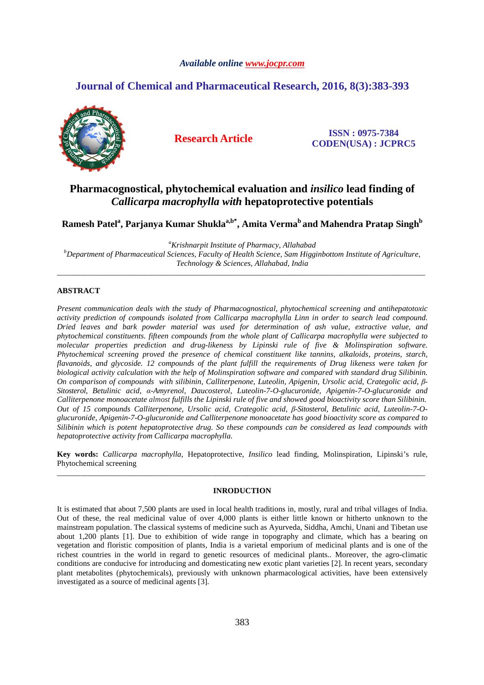# *Available online www.jocpr.com*

# **Journal of Chemical and Pharmaceutical Research, 2016, 8(3):383-393**



**Research Article ISSN : 0975-7384 CODEN(USA) : JCPRC5**

# **Pharmacognostical, phytochemical evaluation and** *insilico* **lead finding of**  *Callicarpa macrophylla with* **hepatoprotective potentials**

 $\bf{R}$ amesh Patel $\rm{^a,\rm{P}$ arjanya Kumar Shukla $\rm{^{a,b}}^*$ , Amita Verma $\rm{^b}$  and Mahendra Pratap Singh $\rm{^b}$ 

*<sup>a</sup>Krishnarpit Institute of Pharmacy, Allahabad <sup>b</sup>Department of Pharmaceutical Sciences, Faculty of Health Science, Sam Higginbottom Institute of Agriculture, Technology & Sciences, Allahabad, India* 

\_\_\_\_\_\_\_\_\_\_\_\_\_\_\_\_\_\_\_\_\_\_\_\_\_\_\_\_\_\_\_\_\_\_\_\_\_\_\_\_\_\_\_\_\_\_\_\_\_\_\_\_\_\_\_\_\_\_\_\_\_\_\_\_\_\_\_\_\_\_\_\_\_\_\_\_\_\_\_\_\_\_\_\_\_\_\_\_\_\_\_\_\_

# **ABSTRACT**

*Present communication deals with the study of Pharmacognostical, phytochemical screening and antihepatotoxic activity prediction of compounds isolated from Callicarpa macrophylla Linn in order to search lead compound. Dried leaves and bark powder material was used for determination of ash value, extractive value, and phytochemical constituents. fifteen compounds from the whole plant of Callicarpa macrophylla were subjected to molecular properties prediction and drug-likeness by Lipinski rule of five & Molinspiration software. Phytochemical screening proved the presence of chemical constituent like tannins, alkaloids, proteins, starch, flavanoids, and glycoside. 12 compounds of the plant fulfill the requirements of Drug likeness were taken for biological activity calculation with the help of Molinspiration software and compared with standard drug Silibinin. On comparison of compounds with silibinin, Calliterpenone, Luteolin, Apigenin, Ursolic acid, Crategolic acid, β-Sitosterol, Betulinic acid, α-Amyrenol, Daucosterol, Luteolin-7-O-glucuronide, Apigenin-7-O-glucuronide and Calliterpenone monoacetate almost fulfills the Lipinski rule of five and showed good bioactivity score than Silibinin. Out of 15 compounds Calliterpenone, Ursolic acid, Crategolic acid, β-Sitosterol, Betulinic acid, Luteolin-7-Oglucuronide, Apigenin-7-O-glucuronide and Calliterpenone monoacetate has good bioactivity score as compared to Silibinin which is potent hepatoprotective drug. So these compounds can be considered as lead compounds with hepatoprotective activity from Callicarpa macrophylla.* 

**Key words:** *Callicarpa macrophylla*, Hepatoprotective, *Insilico* lead finding, Molinspiration, Lipinski's rule, Phytochemical screening \_\_\_\_\_\_\_\_\_\_\_\_\_\_\_\_\_\_\_\_\_\_\_\_\_\_\_\_\_\_\_\_\_\_\_\_\_\_\_\_\_\_\_\_\_\_\_\_\_\_\_\_\_\_\_\_\_\_\_\_\_\_\_\_\_\_\_\_\_\_\_\_\_\_\_\_\_\_\_\_\_\_\_\_\_\_\_\_\_\_\_\_\_

# **INRODUCTION**

It is estimated that about 7,500 plants are used in local health traditions in, mostly, rural and tribal villages of India. Out of these, the real medicinal value of over 4,000 plants is either little known or hitherto unknown to the mainstream population. The classical systems of medicine such as Ayurveda, Siddha, Amchi, Unani and Tibetan use about 1,200 plants [1]. Due to exhibition of wide range in topography and climate, which has a bearing on vegetation and floristic composition of plants, India is a varietal emporium of medicinal plants and is one of the richest countries in the world in regard to genetic resources of medicinal plants.. Moreover, the agro-climatic conditions are conducive for introducing and domesticating new exotic plant varieties [2]. In recent years, secondary plant metabolites (phytochemicals), previously with unknown pharmacological activities, have been extensively investigated as a source of medicinal agents [3].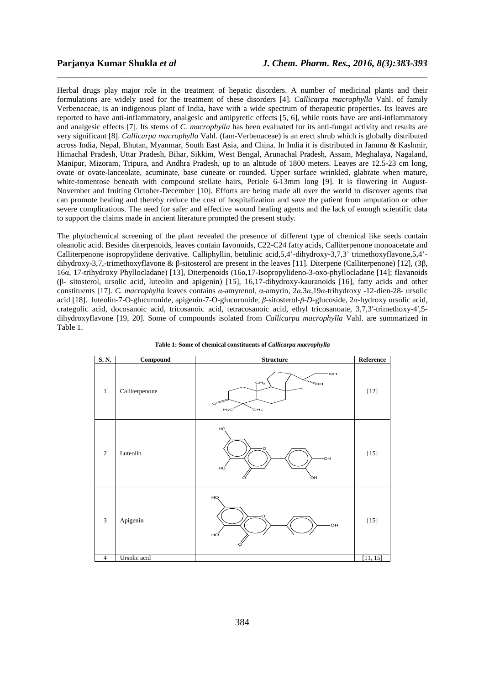Herbal drugs play major role in the treatment of hepatic disorders. A number of medicinal plants and their formulations are widely used for the treatment of these disorders [4]. *Callicarpa macrophylla* Vahl. of family Verbenaceae, is an indigenous plant of India, have with a wide spectrum of therapeutic properties. Its leaves are reported to have anti-inflammatory, analgesic and antipyretic effects [5, 6], while roots have are anti-inflammatory and analgesic effects [7]. Its stems of *C. macrophylla* has been evaluated for its anti-fungal activity and results are very significant [8]. *Callicarpa macrophylla* Vahl. (fam-Verbenaceae) is an erect shrub which is globally distributed across India, Nepal, Bhutan, Myanmar, South East Asia, and China. In India it is distributed in Jammu & Kashmir, Himachal Pradesh, Uttar Pradesh, Bihar, Sikkim, West Bengal, Arunachal Pradesh, Assam, Meghalaya, Nagaland, Manipur, Mizoram, Tripura, and Andhra Pradesh, up to an altitude of 1800 meters. Leaves are 12.5-23 cm long, ovate or ovate-lanceolate, acuminate, base cuneate or rounded. Upper surface wrinkled, glabrate when mature, white-tomentose beneath with compound stellate hairs, Petiole 6-13mm long [9]. It is flowering in August-November and fruiting October-December [10]. Efforts are being made all over the world to discover agents that can promote healing and thereby reduce the cost of hospitalization and save the patient from amputation or other severe complications. The need for safer and effective wound healing agents and the lack of enough scientific data to support the claims made in ancient literature prompted the present study.

\_\_\_\_\_\_\_\_\_\_\_\_\_\_\_\_\_\_\_\_\_\_\_\_\_\_\_\_\_\_\_\_\_\_\_\_\_\_\_\_\_\_\_\_\_\_\_\_\_\_\_\_\_\_\_\_\_\_\_\_\_\_\_\_\_\_\_\_\_\_\_\_\_\_\_\_\_\_

The phytochemical screening of the plant revealed the presence of different type of chemical like seeds contain oleanolic acid. Besides diterpenoids, leaves contain favonoids, C22-C24 fatty acids, Calliterpenone monoacetate and Calliterpenone isopropylidene derivative. Calliphyllin, betulinic acid,5,4'-dihydroxy-3,7,3' trimethoxyflavone,5,4' dihydroxy-3,7,-trimethoxyflavone & β-sitosterol are present in the leaves [11]. Diterpene (Calliterpenone) [12], (3β, 16α, 17-trihydroxy Phyllocladane) [13], Diterpenoids (16α,17-Isopropylideno-3-oxo-phyllocladane [14]; flavanoids (β- sitosterol, ursolic acid, luteolin and apigenin) [15], 16,17-dihydroxy-kauranoids [16], fatty acids and other constituents [17]. *C. macrophylla* leaves contains *α*-amyrenol, α-amyrin, 2*α*,3*α*,19*α*-trihydroxy -12-dien-28- ursolic acid [18]. luteolin-7-O-glucuronide, apigenin-7-O-glucuronide, *β*-sitosterol-*β*-*D-*glucoside, 2*α*-hydroxy ursolic acid, crategolic acid, docosanoic acid, tricosanoic acid, tetracosanoic acid, ethyl tricosanoate, 3,7,3′-trimethoxy-4′,5 dihydroxyflavone [19, 20]. Some of compounds isolated from *Callicarpa macrophylla* Vahl. are summarized in Table 1.

| $\overline{\mathbf{S}}$ . N. | Compound       | <b>Structure</b>                                                                                       | Reference |
|------------------------------|----------------|--------------------------------------------------------------------------------------------------------|-----------|
| $\mathbf{1}$                 | Calliterpenone | OH<br><i><sup>G</sup><sup>O</sup>MA</i> OH<br>CH <sub>3</sub><br>∽<br>$H_3C$<br>$\overleftarrow{c}H_3$ | $[12]$    |
| 2                            | Luteolin       | HQ<br>O<br>·OH<br>нó<br>òн<br>Ó                                                                        | $[15]$    |
| 3                            | Apigenin       | HO <sub>.</sub><br>$\circ$<br>·OH<br>нó<br>∩                                                           | $[15]$    |
| $\overline{4}$               | Ursolic acid   |                                                                                                        | [11, 15]  |

| Table 1: Some of chemical constituents of <i>Callicarpa macrophylla</i> |  |
|-------------------------------------------------------------------------|--|
|-------------------------------------------------------------------------|--|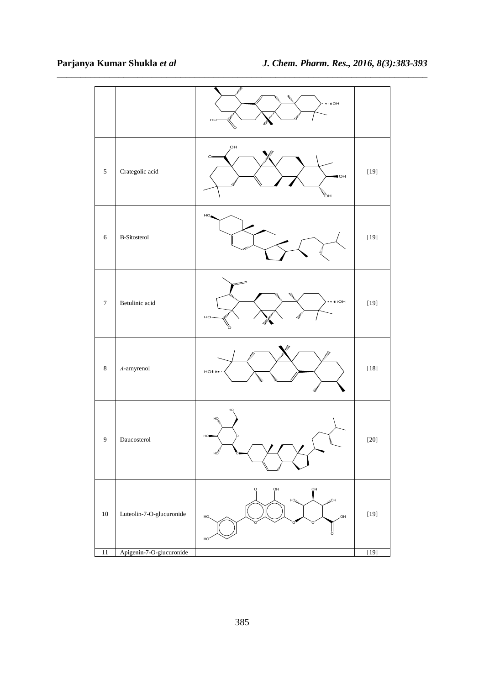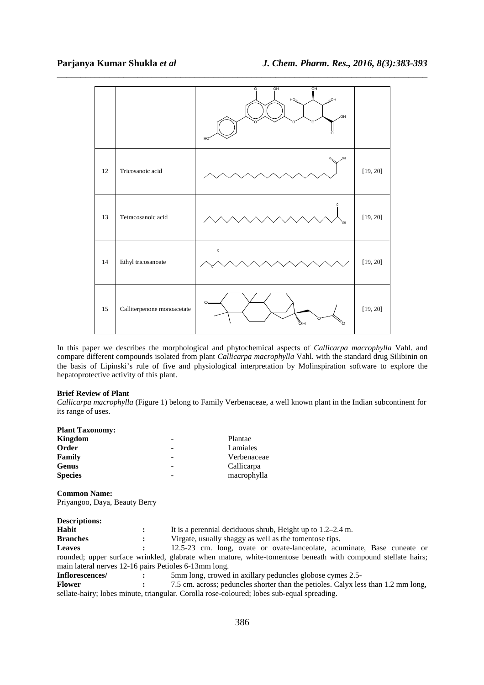

In this paper we describes the morphological and phytochemical aspects of *Callicarpa macrophylla* Vahl. and compare different compounds isolated from plant *Callicarpa macrophylla* Vahl. with the standard drug Silibinin on the basis of Lipinski's rule of five and physiological interpretation by Molinspiration software to explore the hepatoprotective activity of this plant.

### **Brief Review of Plant**

*Callicarpa macrophylla* (Figure 1) belong to Family Verbenaceae, a well known plant in the Indian subcontinent for its range of uses.

# **Plant Taxonomy:**

| Kingdom        | -                        | Plantae     |
|----------------|--------------------------|-------------|
| Order          | $\blacksquare$           | Lamiales    |
| Family         | $\overline{\phantom{a}}$ | Verbenaceae |
| Genus          | -                        | Callicarpa  |
| <b>Species</b> | $\overline{\phantom{a}}$ | macrophylla |

**Common Name:** Priyangoo, Daya, Beauty Berry

| <b>Descriptions:</b>                                                                       |  |                                                                                                              |  |
|--------------------------------------------------------------------------------------------|--|--------------------------------------------------------------------------------------------------------------|--|
| Habit                                                                                      |  | It is a perennial deciduous shrub, Height up to $1.2-2.4$ m.                                                 |  |
| <b>Branches</b>                                                                            |  | Virgate, usually shaggy as well as the tomentose tips.                                                       |  |
| <b>Leaves</b>                                                                              |  | 12.5-23 cm. long, ovate or ovate-lanceolate, acuminate, Base cuneate or                                      |  |
|                                                                                            |  | rounded; upper surface wrinkled, glabrate when mature, white-tomentose beneath with compound stellate hairs; |  |
| main lateral nerves 12-16 pairs Petioles 6-13mm long.                                      |  |                                                                                                              |  |
| Inflorescences/<br>5mm long, crowed in axillary peduncles globose cymes 2.5-               |  |                                                                                                              |  |
| <b>Flower</b>                                                                              |  | 7.5 cm. across; peduncles shorter than the petioles. Calyx less than 1.2 mm long,                            |  |
| sellate-hairy; lobes minute, triangular. Corolla rose-coloured; lobes sub-equal spreading. |  |                                                                                                              |  |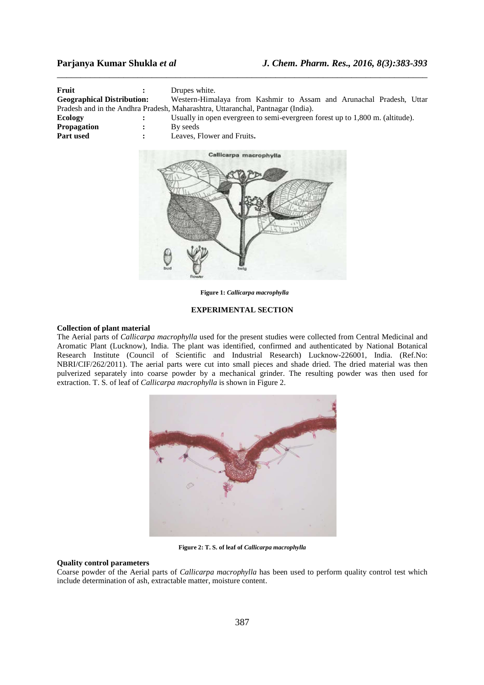| Fruit                             |              | Drupes white.                                                                   |  |
|-----------------------------------|--------------|---------------------------------------------------------------------------------|--|
| <b>Geographical Distribution:</b> |              | Western-Himalaya from Kashmir to Assam and Arunachal Pradesh, Uttar             |  |
|                                   |              | Pradesh and in the Andhra Pradesh, Maharashtra, Uttaranchal, Pantnagar (India). |  |
| Ecology                           | $\mathbf{L}$ | Usually in open evergreen to semi-evergreen forest up to 1,800 m. (altitude).   |  |
| <b>Propagation</b>                |              | By seeds                                                                        |  |
| <b>Part used</b>                  | $\mathbf{r}$ | Leaves, Flower and Fruits.                                                      |  |

\_\_\_\_\_\_\_\_\_\_\_\_\_\_\_\_\_\_\_\_\_\_\_\_\_\_\_\_\_\_\_\_\_\_\_\_\_\_\_\_\_\_\_\_\_\_\_\_\_\_\_\_\_\_\_\_\_\_\_\_\_\_\_\_\_\_\_\_\_\_\_\_\_\_\_\_\_\_



**Figure 1:** *Callicarpa macrophylla*

## **EXPERIMENTAL SECTION**

#### **Collection of plant material**

The Aerial parts of *Callicarpa macrophylla* used for the present studies were collected from Central Medicinal and Aromatic Plant (Lucknow), India. The plant was identified, confirmed and authenticated by National Botanical Research Institute (Council of Scientific and Industrial Research) Lucknow-226001, India. (Ref.No: NBRI/CIF/262/2011). The aerial parts were cut into small pieces and shade dried. The dried material was then pulverized separately into coarse powder by a mechanical grinder. The resulting powder was then used for extraction. T. S. of leaf of *Callicarpa macrophylla* is shown in Figure 2.



**Figure 2: T. S. of leaf of** *Callicarpa macrophylla* 

#### **Quality control parameters**

Coarse powder of the Aerial parts of *Callicarpa macrophylla* has been used to perform quality control test which include determination of ash, extractable matter, moisture content.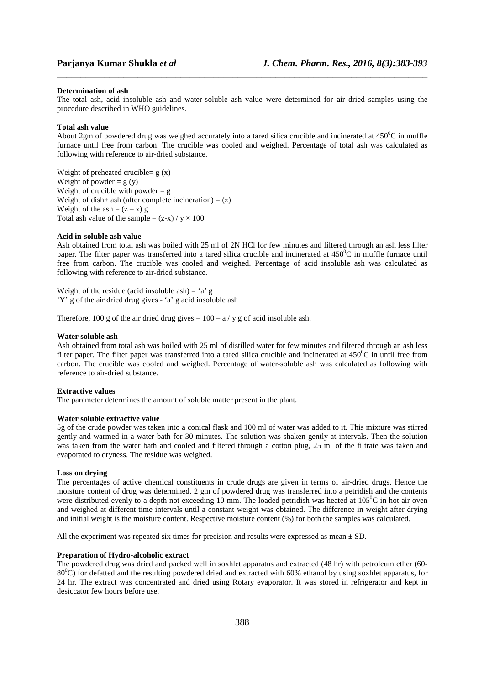#### **Determination of ash**

The total ash, acid insoluble ash and water-soluble ash value were determined for air dried samples using the procedure described in WHO guidelines.

\_\_\_\_\_\_\_\_\_\_\_\_\_\_\_\_\_\_\_\_\_\_\_\_\_\_\_\_\_\_\_\_\_\_\_\_\_\_\_\_\_\_\_\_\_\_\_\_\_\_\_\_\_\_\_\_\_\_\_\_\_\_\_\_\_\_\_\_\_\_\_\_\_\_\_\_\_\_

#### **Total ash value**

About 2gm of powdered drug was weighed accurately into a tared silica crucible and incinerated at  $450^{\circ}$ C in muffle furnace until free from carbon. The crucible was cooled and weighed. Percentage of total ash was calculated as following with reference to air-dried substance.

Weight of preheated crucible=  $g(x)$ Weight of powder  $= g(y)$ Weight of crucible with powder  $= g$ Weight of dish+ ash (after complete incineration) =  $(z)$ Weight of the ash =  $(z - x)$  g Total ash value of the sample =  $(z-x) / y \times 100$ 

### **Acid in-soluble ash value**

Ash obtained from total ash was boiled with 25 ml of 2N HCl for few minutes and filtered through an ash less filter paper. The filter paper was transferred into a tared silica crucible and incinerated at  $450^{\circ}$ C in muffle furnace until free from carbon. The crucible was cooled and weighed. Percentage of acid insoluble ash was calculated as following with reference to air-dried substance.

Weight of the residue (acid insoluble ash) = 'a' g 'Y' g of the air dried drug gives - 'a' g acid insoluble ash

Therefore, 100 g of the air dried drug gives  $= 100 - a / y$  g of acid insoluble ash.

### **Water soluble ash**

Ash obtained from total ash was boiled with 25 ml of distilled water for few minutes and filtered through an ash less filter paper. The filter paper was transferred into a tared silica crucible and incinerated at  $450^{\circ}$ C in until free from carbon. The crucible was cooled and weighed. Percentage of water-soluble ash was calculated as following with reference to air-dried substance.

#### **Extractive values**

The parameter determines the amount of soluble matter present in the plant.

#### **Water soluble extractive value**

5g of the crude powder was taken into a conical flask and 100 ml of water was added to it. This mixture was stirred gently and warmed in a water bath for 30 minutes. The solution was shaken gently at intervals. Then the solution was taken from the water bath and cooled and filtered through a cotton plug, 25 ml of the filtrate was taken and evaporated to dryness. The residue was weighed.

### **Loss on drying**

The percentages of active chemical constituents in crude drugs are given in terms of air-dried drugs. Hence the moisture content of drug was determined. 2 gm of powdered drug was transferred into a petridish and the contents were distributed evenly to a depth not exceeding 10 mm. The loaded petridish was heated at  $105^{\circ}$ C in hot air oven and weighed at different time intervals until a constant weight was obtained. The difference in weight after drying and initial weight is the moisture content. Respective moisture content (%) for both the samples was calculated.

All the experiment was repeated six times for precision and results were expressed as mean  $\pm$  SD.

### **Preparation of Hydro-alcoholic extract**

The powdered drug was dried and packed well in soxhlet apparatus and extracted (48 hr) with petroleum ether (60- 80<sup>o</sup>C) for defatted and the resulting powdered dried and extracted with 60% ethanol by using soxhlet apparatus, for 24 hr. The extract was concentrated and dried using Rotary evaporator. It was stored in refrigerator and kept in desiccator few hours before use.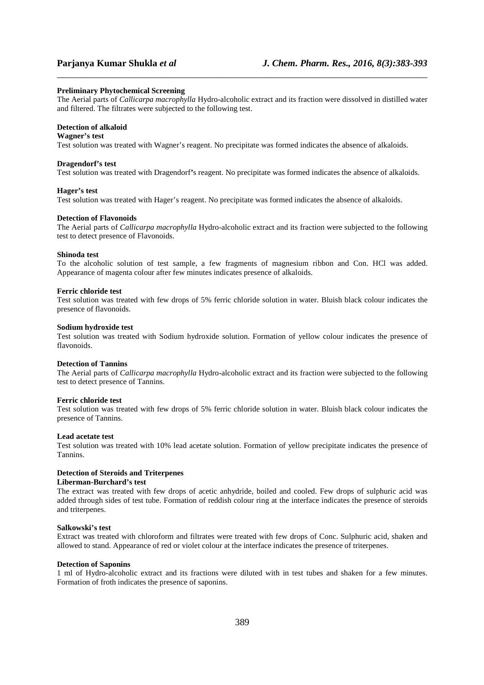### **Preliminary Phytochemical Screening**

The Aerial parts of *Callicarpa macrophylla* Hydro-alcoholic extract and its fraction were dissolved in distilled water and filtered. The filtrates were subjected to the following test.

\_\_\_\_\_\_\_\_\_\_\_\_\_\_\_\_\_\_\_\_\_\_\_\_\_\_\_\_\_\_\_\_\_\_\_\_\_\_\_\_\_\_\_\_\_\_\_\_\_\_\_\_\_\_\_\_\_\_\_\_\_\_\_\_\_\_\_\_\_\_\_\_\_\_\_\_\_\_

### **Detection of alkaloid**

#### **Wagner's test**

Test solution was treated with Wagner's reagent. No precipitate was formed indicates the absence of alkaloids.

#### **Dragendorf's test**

Test solution was treated with Dragendorf**'**s reagent. No precipitate was formed indicates the absence of alkaloids.

#### **Hager's test**

Test solution was treated with Hager's reagent. No precipitate was formed indicates the absence of alkaloids.

#### **Detection of Flavonoids**

The Aerial parts of *Callicarpa macrophylla* Hydro-alcoholic extract and its fraction were subjected to the following test to detect presence of Flavonoids.

#### **Shinoda test**

To the alcoholic solution of test sample, a few fragments of magnesium ribbon and Con. HCl was added. Appearance of magenta colour after few minutes indicates presence of alkaloids.

#### **Ferric chloride test**

Test solution was treated with few drops of 5% ferric chloride solution in water. Bluish black colour indicates the presence of flavonoids.

#### **Sodium hydroxide test**

Test solution was treated with Sodium hydroxide solution. Formation of yellow colour indicates the presence of flavonoids.

#### **Detection of Tannins**

The Aerial parts of *Callicarpa macrophylla* Hydro-alcoholic extract and its fraction were subjected to the following test to detect presence of Tannins.

#### **Ferric chloride test**

Test solution was treated with few drops of 5% ferric chloride solution in water. Bluish black colour indicates the presence of Tannins.

#### **Lead acetate test**

Test solution was treated with 10% lead acetate solution. Formation of yellow precipitate indicates the presence of Tannins.

# **Detection of Steroids and Triterpenes**

#### **Liberman-Burchard's test**

The extract was treated with few drops of acetic anhydride, boiled and cooled. Few drops of sulphuric acid was added through sides of test tube. Formation of reddish colour ring at the interface indicates the presence of steroids and triterpenes.

#### **Salkowski's test**

Extract was treated with chloroform and filtrates were treated with few drops of Conc. Sulphuric acid, shaken and allowed to stand. Appearance of red or violet colour at the interface indicates the presence of triterpenes.

#### **Detection of Saponins**

1 ml of Hydro-alcoholic extract and its fractions were diluted with in test tubes and shaken for a few minutes. Formation of froth indicates the presence of saponins.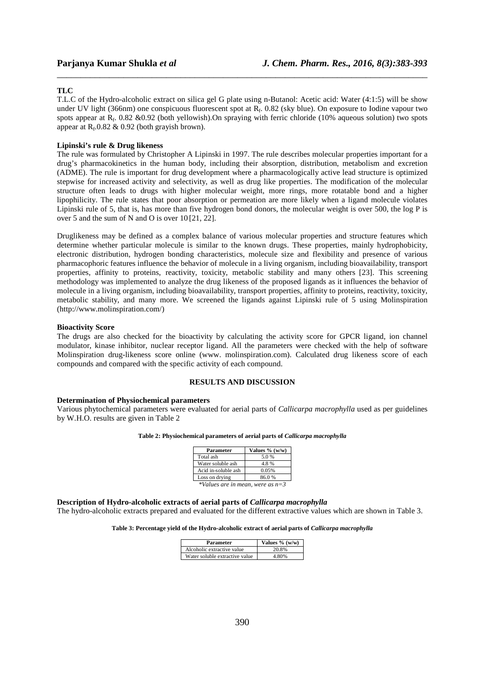# **TLC**

T.L.C of the Hydro-alcoholic extract on silica gel G plate using n-Butanol: Acetic acid: Water (4:1:5) will be show under UV light (366nm) one conspicuous fluorescent spot at R<sub>f</sub>. 0.82 (sky blue). On exposure to Iodine vapour two spots appear at  $R_f$ . 0.82 &0.92 (both yellowish).On spraying with ferric chloride (10% aqueous solution) two spots appear at  $R_f$ .0.82 & 0.92 (both grayish brown).

\_\_\_\_\_\_\_\_\_\_\_\_\_\_\_\_\_\_\_\_\_\_\_\_\_\_\_\_\_\_\_\_\_\_\_\_\_\_\_\_\_\_\_\_\_\_\_\_\_\_\_\_\_\_\_\_\_\_\_\_\_\_\_\_\_\_\_\_\_\_\_\_\_\_\_\_\_\_

#### **Lipinski's rule & Drug likeness**

The rule was formulated by Christopher A Lipinski in 1997. The rule describes molecular properties important for a drug's pharmacokinetics in the human body, including their absorption, distribution, metabolism and excretion (ADME). The rule is important for drug development where a pharmacologically active lead structure is optimized stepwise for increased activity and selectivity, as well as drug like properties. The modification of the molecular structure often leads to drugs with higher molecular weight, more rings, more rotatable bond and a higher lipophilicity. The rule states that poor absorption or permeation are more likely when a ligand molecule violates Lipinski rule of 5, that is, has more than five hydrogen bond donors, the molecular weight is over 500, the log P is over 5 and the sum of N and O is over 10 [21, 22].

Druglikeness may be defined as a complex balance of various molecular properties and structure features which determine whether particular molecule is similar to the known drugs. These properties, mainly hydrophobicity, electronic distribution, hydrogen bonding characteristics, molecule size and flexibility and presence of various pharmacophoric features influence the behavior of molecule in a living organism, including bioavailability, transport properties, affinity to proteins, reactivity, toxicity, metabolic stability and many others [23]. This screening methodology was implemented to analyze the drug likeness of the proposed ligands as it influences the behavior of molecule in a living organism, including bioavailability, transport properties, affinity to proteins, reactivity, toxicity, metabolic stability, and many more. We screened the ligands against Lipinski rule of 5 using Molinspiration (http://www.molinspiration.com/)

#### **Bioactivity Score**

The drugs are also checked for the bioactivity by calculating the activity score for GPCR ligand, ion channel modulator, kinase inhibitor, nuclear receptor ligand. All the parameters were checked with the help of software Molinspiration drug-likeness score online (www. molinspiration.com). Calculated drug likeness score of each compounds and compared with the specific activity of each compound.

# **RESULTS AND DISCUSSION**

#### **Determination of Physiochemical parameters**

Various phytochemical parameters were evaluated for aerial parts of *Callicarpa macrophylla* used as per guidelines by W.H.O. results are given in Table 2

| Parameter                          | Values % (w/w) |  |
|------------------------------------|----------------|--|
| Total ash                          | 5.0 %          |  |
| Water soluble ash                  | 4.8%           |  |
| Acid in-soluble ash                | 0.05%          |  |
| 86.0%<br>Loss on drying            |                |  |
| *Values are in mean, were as $n=3$ |                |  |

**Description of Hydro-alcoholic extracts of aerial parts of** *Callicarpa macrophylla* The hydro-alcoholic extracts prepared and evaluated for the different extractive values which are shown in Table 3.

| Parameter                      | Values $% (w/w)$ |
|--------------------------------|------------------|
| Alcoholic extractive value     | 20.8%            |
| Water soluble extractive value | 4.80%            |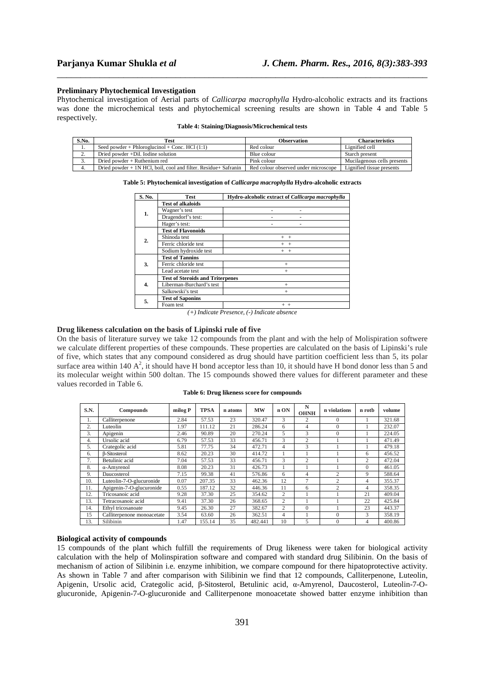### **Preliminary Phytochemical Investigation**

Phytochemical investigation of Aerial parts of *Callicarpa macrophylla* Hydro-alcoholic extracts and its fractions was done the microchemical tests and phytochemical screening results are shown in Table 4 and Table 5 respectively.

\_\_\_\_\_\_\_\_\_\_\_\_\_\_\_\_\_\_\_\_\_\_\_\_\_\_\_\_\_\_\_\_\_\_\_\_\_\_\_\_\_\_\_\_\_\_\_\_\_\_\_\_\_\_\_\_\_\_\_\_\_\_\_\_\_\_\_\_\_\_\_\_\_\_\_\_\_\_

|  |  | Table 4: Staining/Diagnosis/Microchemical tests |  |  |  |
|--|--|-------------------------------------------------|--|--|--|
|--|--|-------------------------------------------------|--|--|--|

| S.No.    | Test                                                                 | <b>Observation</b>                   | <b>Characteristics</b>      |
|----------|----------------------------------------------------------------------|--------------------------------------|-----------------------------|
|          | Seed powder + Phloroglucinol + Conc. $HC1(1:1)$                      | Red colour                           | Lignified cell              |
| <u>.</u> | Dried powder $+$ Dil. Iodine solution                                | Blue colour                          | Starch present              |
| J.       | Dried powder + Ruthenium red                                         | Pink colour                          | Mucilagenous cells presents |
|          | Dried powder $+$ 1N HCl, boil, cool and filter. Residue $+$ Safranin | Red colour observed under microscope | Lignified tissue presents   |

**Table 5: Phytochemical investigation of** *Callicarpa macrophylla* **Hydro-alcoholic extracts** 

| S. No. | <b>Test</b>                             | Hydro-alcoholic extract of Callicarpa macrophylla |  |  |  |
|--------|-----------------------------------------|---------------------------------------------------|--|--|--|
|        | <b>Test of alkaloids</b>                |                                                   |  |  |  |
| 1.     | Wagner's test                           |                                                   |  |  |  |
|        | Dragendorf's test:                      |                                                   |  |  |  |
|        | Hager's test:                           |                                                   |  |  |  |
|        | <b>Test of Flavonoids</b>               |                                                   |  |  |  |
| 2.     | Shinoda test                            | $+$                                               |  |  |  |
|        | Ferric chloride test                    | $+ +$                                             |  |  |  |
|        | Sodium hydroxide test                   | $+ +$                                             |  |  |  |
|        | <b>Test of Tannins</b>                  |                                                   |  |  |  |
| 3.     | Ferric chloride test                    | $+$                                               |  |  |  |
|        | Lead acetate test                       | $+$                                               |  |  |  |
|        | <b>Test of Steroids and Triterpenes</b> |                                                   |  |  |  |
| 4.     | Liberman-Burchard's test                | $+$                                               |  |  |  |
|        | Salkowski's test                        | $+$                                               |  |  |  |
| 5.     | <b>Test of Saponins</b>                 |                                                   |  |  |  |
|        | Foam test                               | $+ +$                                             |  |  |  |

*(+) Indicate Presence, (-) Indicate absence* 

### **Drug likeness calculation on the basis of Lipinski rule of five**

On the basis of literature survey we take 12 compounds from the plant and with the help of Molispiration softwere we calculate different properties of these compounds. These properties are calculated on the basis of Lipinski's rule of five, which states that any compound considered as drug should have partition coefficient less than 5, its polar surface area within 140  $A^2$ , it should have H bond acceptor less than 10, it should have H bond donor less than 5 and its molecular weight within 500 doltan. The 15 compounds showed there values for different parameter and these values recorded in Table 6.

|  |  | Table 6: Drug likeness score for compounds |
|--|--|--------------------------------------------|
|--|--|--------------------------------------------|

| S.N. | Compounds                  | milog P | <b>TPSA</b> | n atoms | MW      | n ON           | N<br><b>OHNH</b> | n violations   | n rotb   | volume |
|------|----------------------------|---------|-------------|---------|---------|----------------|------------------|----------------|----------|--------|
| 1.   | Calliterpenone             | 2.84    | 57.53       | 23      | 320.47  | 3              | $\overline{c}$   | $\Omega$       |          | 321.68 |
| 2.   | Luteolin                   | 1.97    | 111.12      | 21      | 286.24  | 6              | 4                | $\Omega$       |          | 232.07 |
| 3.   | Apigenin                   | 2.46    | 90.89       | 20      | 270.24  | 5              | 3                | $\Omega$       |          | 224.05 |
| 4.   | Ursolic acid               | 6.79    | 57.53       | 33      | 456.71  | 3              | 2                |                |          | 471.49 |
| 5.   | Crategolic acid            | 5.81    | 77.75       | 34      | 472.71  | 4              | 3                |                |          | 479.18 |
| 6.   | <b>B-Sitosterol</b>        | 8.62    | 20.23       | 30      | 414.72  |                |                  |                | 6        | 456.52 |
| 7.   | Betulinic acid             | 7.04    | 57.53       | 33      | 456.71  | 3              | 2                |                | 2        | 472.04 |
| 8.   | $\alpha$ -Amyrenol         | 8.08    | 20.23       | 31      | 426.73  |                |                  |                | $\Omega$ | 461.05 |
| 9.   | Daucosterol                | 7.15    | 99.38       | 41      | 576.86  | 6              | 4                | 2              | 9        | 588.64 |
| 10.  | Luteolin-7-O-glucuronide   | 0.07    | 207.35      | 33      | 462.36  | 12             | $\tau$           | 2              | 4        | 355.37 |
| 11.  | Apigenin-7-O-glucuronide   | 0.55    | 187.12      | 32      | 446.36  | 11             | 6                | $\overline{c}$ | 4        | 358.35 |
| 12.  | Tricosanoic acid           | 9.28    | 37.30       | 25      | 354.62  | 2              |                  |                | 21       | 409.04 |
| 13.  | Tetracosanoic acid         | 9.41    | 37.30       | 26      | 368.65  | $\overline{c}$ |                  |                | 22       | 425.84 |
| 14.  | Ethyl tricosanoate         | 9.45    | 26.30       | 27      | 382.67  | 2              | $\Omega$         |                | 23       | 443.37 |
| 15   | Calliterpenone monoacetate | 3.54    | 63.60       | 26      | 362.51  | 4              |                  | $\Omega$       | 3        | 358.19 |
| 13.  | Silibinin                  | 1.47    | 155.14      | 35      | 482.441 | 10             | 5                | $\Omega$       | 4        | 400.86 |

# **Biological activity of compounds**

15 compounds of the plant which fulfill the requirements of Drug likeness were taken for biological activity calculation with the help of Molinspiration software and compared with standard drug Silibinin. On the basis of mechanism of action of Silibinin i.e. enzyme inhibition, we compare compound for there hipatoprotective activity. As shown in Table 7 and after comparison with Silibinin we find that 12 compounds, Calliterpenone, Luteolin, Apigenin, Ursolic acid, Crategolic acid, β-Sitosterol, Betulinic acid, α-Amyrenol, Daucosterol, Luteolin-7-Oglucuronide, Apigenin-7-O-glucuronide and Calliterpenone monoacetate showed batter enzyme inhibition than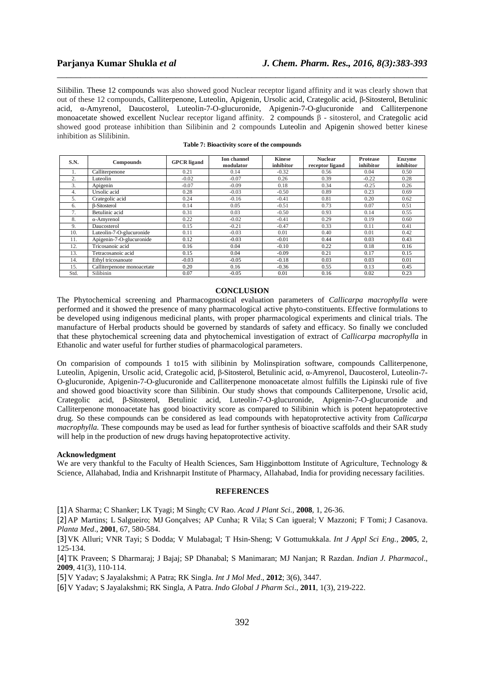Silibilin. These 12 compounds was also showed good Nuclear receptor ligand affinity and it was clearly shown that out of these 12 compounds, Calliterpenone, Luteolin, Apigenin, Ursolic acid, Crategolic acid, β-Sitosterol, Betulinic acid, α-Amyrenol, Daucosterol, Luteolin-7-O-glucuronide, Apigenin-7-O-glucuronide and Calliterpenone monoacetate showed excellent Nuclear receptor ligand affinity. 2 compounds β - sitosterol, and Crategolic acid showed good protease inhibition than Silibinin and 2 compounds Luteolin and Apigenin showed better kinese inhibition as Slilibinin.

\_\_\_\_\_\_\_\_\_\_\_\_\_\_\_\_\_\_\_\_\_\_\_\_\_\_\_\_\_\_\_\_\_\_\_\_\_\_\_\_\_\_\_\_\_\_\_\_\_\_\_\_\_\_\_\_\_\_\_\_\_\_\_\_\_\_\_\_\_\_\_\_\_\_\_\_\_\_

| S.N.           | Compounds                  | <b>GPCR</b> ligand | <b>Ion channel</b><br>modulator | <b>Kinese</b><br>inhibitor | <b>Nuclear</b><br>receptor ligand | Protease<br>inhibitor | Enzyme<br>inhibitor |
|----------------|----------------------------|--------------------|---------------------------------|----------------------------|-----------------------------------|-----------------------|---------------------|
|                | Calliterpenone             | 0.21               | 0.14                            | $-0.32$                    | 0.56                              | 0.04                  | 0.50                |
| 2.             | Luteolin                   | $-0.02$            | $-0.07$                         | 0.26                       | 0.39                              | $-0.22$               | 0.28                |
| 3.             | Apigenin                   | $-0.07$            | $-0.09$                         | 0.18                       | 0.34                              | $-0.25$               | 0.26                |
| 4.             | Ursolic acid               | 0.28               | $-0.03$                         | $-0.50$                    | 0.89                              | 0.23                  | 0.69                |
| 5.             | Crategolic acid            | 0.24               | $-0.16$                         | $-0.41$                    | 0.81                              | 0.20                  | 0.62                |
| 6.             | <b>B-Sitosterol</b>        | 0.14               | 0.05                            | $-0.51$                    | 0.73                              | 0.07                  | 0.51                |
| $\overline{ }$ | Betulinic acid             | 0.31               | 0.03                            | $-0.50$                    | 0.93                              | 0.14                  | 0.55                |
| 8.             | $\alpha$ -Amyrenol         | 0.22               | $-0.02$                         | $-0.41$                    | 0.29                              | 0.19                  | 0.60                |
| 9.             | Daucosterol                | 0.15               | $-0.21$                         | $-0.47$                    | 0.33                              | 0.11                  | 0.41                |
| 10.            | Luteolin-7-O-glucuronide   | 0.11               | $-0.03$                         | 0.01                       | 0.40                              | 0.01                  | 0.42                |
| 11.            | Apigenin-7-O-glucuronide   | 0.12               | $-0.03$                         | $-0.01$                    | 0.44                              | 0.03                  | 0.43                |
| 12.            | Tricosanoic acid           | 0.16               | 0.04                            | $-0.10$                    | 0.22                              | 0.18                  | 0.16                |
| 13.            | Tetracosanoic acid         | 0.15               | 0.04                            | $-0.09$                    | 0.21                              | 0.17                  | 0.15                |
| 14.            | Ethyl tricosanoate         | $-0.03$            | $-0.05$                         | $-0.18$                    | 0.03                              | 0.03                  | 0.01                |
| 15.            | Calliterpenone monoacetate | 0.20               | 0.16                            | $-0.36$                    | 0.55                              | 0.13                  | 0.45                |
| Std.           | Silibinin                  | 0.07               | $-0.05$                         | 0.01                       | 0.16                              | 0.02                  | 0.23                |

**Table 7: Bioactivity score of the compounds** 

#### **CONCLUSION**

The Phytochemical screening and Pharmacognostical evaluation parameters of *Callicarpa macrophylla* were performed and it showed the presence of many pharmacological active phyto-constituents. Effective formulations to be developed using indigenous medicinal plants, with proper pharmacological experiments and clinical trials. The manufacture of Herbal products should be governed by standards of safety and efficacy. So finally we concluded that these phytochemical screening data and phytochemical investigation of extract of *Callicarpa macrophylla* in Ethanolic and water useful for further studies of pharmacological parameters.

On comparision of compounds 1 to15 with silibinin by Molinspiration software, compounds Calliterpenone, Luteolin, Apigenin, Ursolic acid, Crategolic acid, β-Sitosterol, Betulinic acid, α-Amyrenol, Daucosterol, Luteolin-7- O-glucuronide, Apigenin-7-O-glucuronide and Calliterpenone monoacetate almost fulfills the Lipinski rule of five and showed good bioactivity score than Silibinin. Our study shows that compounds Calliterpenone, Ursolic acid, Crategolic acid, β-Sitosterol, Betulinic acid, Luteolin-7-O-glucuronide, Apigenin-7-O-glucuronide and Calliterpenone monoacetate has good bioactivity score as compared to Silibinin which is potent hepatoprotective drug. So these compounds can be considered as lead compounds with hepatoprotective activity from *Callicarpa macrophylla.* These compounds may be used as lead for further synthesis of bioactive scaffolds and their SAR study will help in the production of new drugs having hepatoprotective activity.

# **Acknowledgment**

We are very thankful to the Faculty of Health Sciences, Sam Higginbottom Institute of Agriculture, Technology & Science, Allahabad, India and Krishnarpit Institute of Pharmacy, Allahabad, India for providing necessary facilities.

#### **REFERENCES**

[1]A Sharma; C Shanker; LK Tyagi; M Singh; CV Rao. *Acad J Plant Sci.,* **2008**, 1, 26-36.

[2]AP Martins; L Salgueiro; MJ Gonçalves; AP Cunha; R Vila; S Can igueral; V Mazzoni; F Tomi; J Casanova. *Planta Med*., **2001**, 67, 580-584.

[3]VK Alluri; VNR Tayi; S Dodda; V Mulabagal; T Hsin-Sheng; V Gottumukkala. *Int J Appl Sci Eng.,* **2005**, 2, 125-134.

[4]TK Praveen; S Dharmaraj; J Bajaj; SP Dhanabal; S Manimaran; MJ Nanjan; R Razdan. *Indian J. Pharmacol*., **2009**, 41(3), 110-114.

[5]V Yadav; S Jayalakshmi; A Patra; RK Singla. *Int J Mol Med*., **2012**; 3(6), 3447.

[6]V Yadav; S Jayalakshmi; RK Singla, A Patra. *Indo Global J Pharm Sci*., **2011**, 1(3), 219-222.